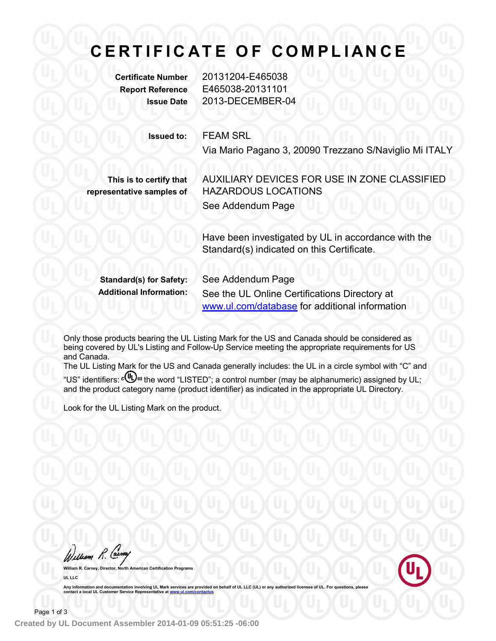# **C E R T I F I C A T E O F C O M PL I A N C E**

**Certificate Number** 20131204-E465038 **Report Reference** E465038-20131101 **Issue Date** 2013-DECEMBER-04

**Issued to:** FEAM SRL

Via Mario Pagano 3, 20090 Trezzano S/Naviglio Mi ITALY

**This is to certify that representative samples of** AUXILIARY DEVICES FOR USE IN ZONE CLASSIFIED HAZARDOUS LOCATIONS See Addendum Page

Have been investigated by UL in accordance with the Standard(s) indicated on this Certificate.

**Standard(s) for Safety:** See Addendum Page **Additional Information:** See the UL Online Certifications Directory at www.ul.com/database for additional information

Only those products bearing the UL Listing Mark for the US and Canada should be considered as being covered by UL's Listing and Follow-Up Service meeting the appropriate requirements for US and Canada.

The UL Listing Mark for the US and Canada generally includes: the UL in a circle symbol with "C" and "US" identifiers: c(U) us the word "LISTED"; a control number (may be alphanumeric) assigned by UL; and the product category name (product identifier) as indicated in the appropriate UL Directory.

Look for the UL Listing Mark on the product.

Welliam R. Carney

**William R. Carney, Director, North American Certification Programs UL LLC**

Any information and documentation involving UL Mark services are provided on behalf of UL LLC (UL) or any authorized licensee of UL. For questions, please<br>contact a local UL Customer Service Representative at www.ul.com/co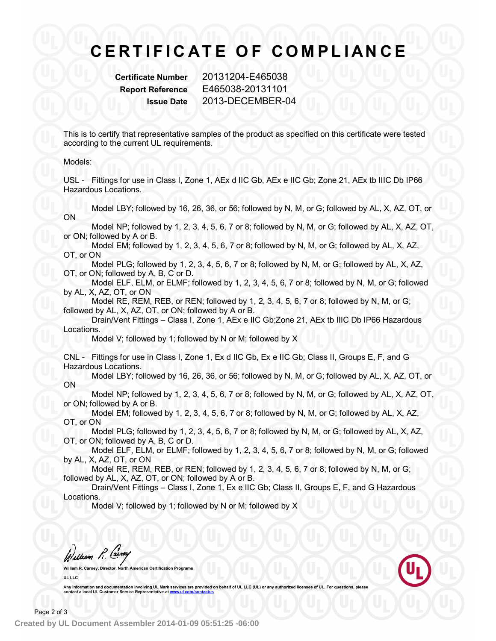### **C E R T I F I C A T E O F C O M PL I A N C E**

**Certificate Number** 20131204-E465038 **Report Reference** E465038-20131101 **Issue Date** 2013-DECEMBER-04

This is to certify that representative samples of the product as specified on this certificate were tested according to the current UL requirements.

### Models:

USL - Fittings for use in Class I, Zone 1, AEx d IIC Gb, AEx e IIC Gb; Zone 21, AEx tb IIIC Db IP66 Hazardous Locations.

Model LBY; followed by 16, 26, 36, or 56; followed by N, M, or G; followed by AL, X, AZ, OT, or ON

Model NP; followed by 1, 2, 3, 4, 5, 6, 7 or 8; followed by N, M, or G; followed by AL, X, AZ, OT, or ON; followed by A or B.

Model EM; followed by 1, 2, 3, 4, 5, 6, 7 or 8; followed by N, M, or G; followed by AL, X, AZ, OT, or ON

Model PLG; followed by 1, 2, 3, 4, 5, 6, 7 or 8; followed by N, M, or G; followed by AL, X, AZ, OT, or ON; followed by A, B, C or D.

Model ELF, ELM, or ELMF; followed by 1, 2, 3, 4, 5, 6, 7 or 8; followed by N, M, or G; followed by AL, X, AZ, OT, or ON

Model RE, REM, REB, or REN; followed by 1, 2, 3, 4, 5, 6, 7 or 8; followed by N, M, or G; followed by AL, X, AZ, OT, or ON; followed by A or B.

Drain/Vent Fittings – Class I, Zone 1, AEx e IIC Gb;Zone 21, AEx tb IIIC Db IP66 Hazardous Locations.

Model V; followed by 1; followed by N or M; followed by X

CNL - Fittings for use in Class I, Zone 1, Ex d IIC Gb, Ex e IIC Gb; Class II, Groups E, F, and G Hazardous Locations.

Model LBY; followed by 16, 26, 36, or 56; followed by N, M, or G; followed by AL, X, AZ, OT, or ON

Model NP; followed by 1, 2, 3, 4, 5, 6, 7 or 8; followed by N, M, or G; followed by AL, X, AZ, OT, or ON; followed by A or B.

Model EM; followed by 1, 2, 3, 4, 5, 6, 7 or 8; followed by N, M, or G; followed by AL, X, AZ, OT, or ON

Model PLG; followed by 1, 2, 3, 4, 5, 6, 7 or 8; followed by N, M, or G; followed by AL, X, AZ, OT, or ON; followed by A, B, C or D.

Model ELF, ELM, or ELMF; followed by 1, 2, 3, 4, 5, 6, 7 or 8; followed by N, M, or G; followed by AL, X, AZ, OT, or ON

Model RE, REM, REB, or REN; followed by 1, 2, 3, 4, 5, 6, 7 or 8; followed by N, M, or G; followed by AL, X, AZ, OT, or ON; followed by A or B.

Drain/Vent Fittings – Class I, Zone 1, Ex e IIC Gb; Class II, Groups E, F, and G Hazardous Locations.

Model V; followed by 1; followed by N or M; followed by X

William R. Carney

**William R. Carney, Director, North American Certification Programs UL LLC**

Any information and documentation involving UL Mark services are provided on behalf of UL LLC (UL) or any authorized licensee of UL. For questions, please<br>contact a local UL Customer Service Representative at <u>www.ul.com/c</u>